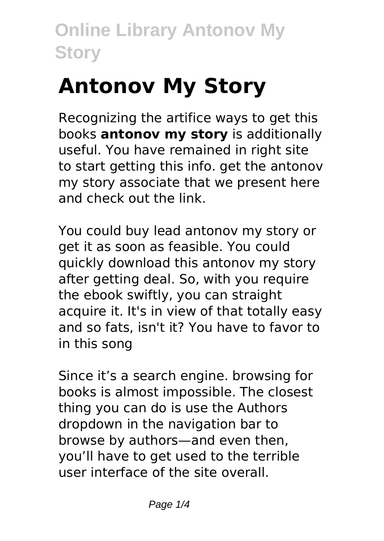# **Antonov My Story**

Recognizing the artifice ways to get this books **antonov my story** is additionally useful. You have remained in right site to start getting this info. get the antonov my story associate that we present here and check out the link.

You could buy lead antonov my story or get it as soon as feasible. You could quickly download this antonov my story after getting deal. So, with you require the ebook swiftly, you can straight acquire it. It's in view of that totally easy and so fats, isn't it? You have to favor to in this song

Since it's a search engine. browsing for books is almost impossible. The closest thing you can do is use the Authors dropdown in the navigation bar to browse by authors—and even then, you'll have to get used to the terrible user interface of the site overall.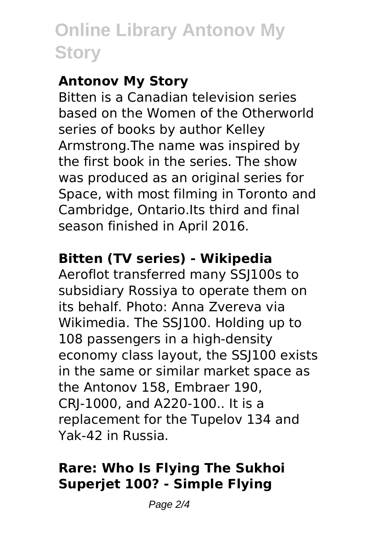### **Antonov My Story**

Bitten is a Canadian television series based on the Women of the Otherworld series of books by author Kelley Armstrong.The name was inspired by the first book in the series. The show was produced as an original series for Space, with most filming in Toronto and Cambridge, Ontario.Its third and final season finished in April 2016.

### **Bitten (TV series) - Wikipedia**

Aeroflot transferred many SSJ100s to subsidiary Rossiya to operate them on its behalf. Photo: Anna Zvereva via Wikimedia. The SSJ100. Holding up to 108 passengers in a high-density economy class layout, the SSJ100 exists in the same or similar market space as the Antonov 158, Embraer 190, CRJ-1000, and A220-100.. It is a replacement for the Tupelov 134 and Yak-42 in Russia.

### **Rare: Who Is Flying The Sukhoi Superjet 100? - Simple Flying**

Page 2/4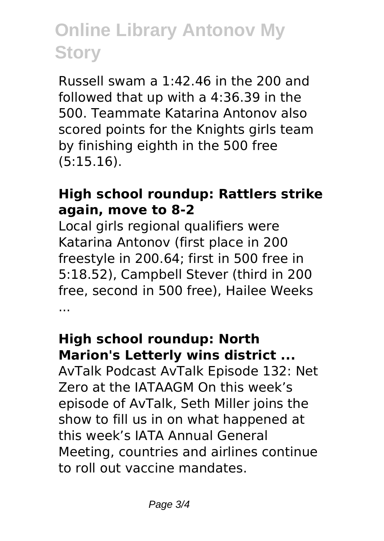Russell swam a 1:42.46 in the 200 and followed that up with a 4:36.39 in the 500. Teammate Katarina Antonov also scored points for the Knights girls team by finishing eighth in the 500 free (5:15.16).

#### **High school roundup: Rattlers strike again, move to 8-2**

Local girls regional qualifiers were Katarina Antonov (first place in 200 freestyle in 200.64; first in 500 free in 5:18.52), Campbell Stever (third in 200 free, second in 500 free), Hailee Weeks ...

#### **High school roundup: North Marion's Letterly wins district ...**

AvTalk Podcast AvTalk Episode 132: Net Zero at the IATAAGM On this week's episode of AvTalk, Seth Miller joins the show to fill us in on what happened at this week's IATA Annual General Meeting, countries and airlines continue to roll out vaccine mandates.